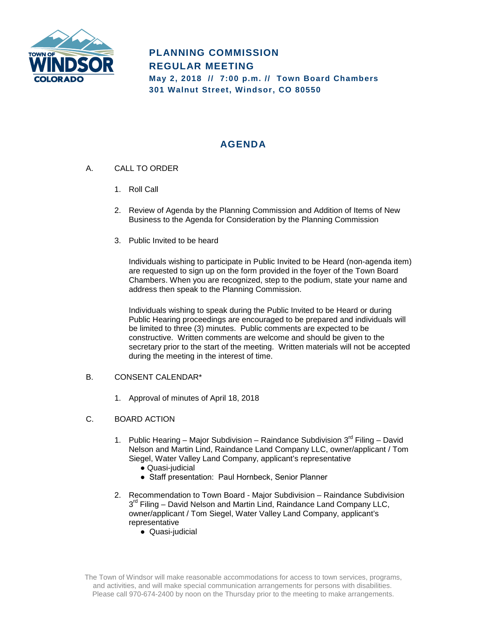

## **PLANNING COMMISSION REGULAR MEETING May 2, 2018 // 7:00 p.m. // Town Board Chambers 301 Walnut Street, Windsor, CO 80550**

# **AGENDA**

- A. CALL TO ORDER
	- 1. Roll Call
	- 2. Review of Agenda by the Planning Commission and Addition of Items of New Business to the Agenda for Consideration by the Planning Commission
	- 3. Public Invited to be heard

Individuals wishing to participate in Public Invited to be Heard (non-agenda item) are requested to sign up on the form provided in the foyer of the Town Board Chambers. When you are recognized, step to the podium, state your name and address then speak to the Planning Commission.

Individuals wishing to speak during the Public Invited to be Heard or during Public Hearing proceedings are encouraged to be prepared and individuals will be limited to three (3) minutes. Public comments are expected to be constructive. Written comments are welcome and should be given to the secretary prior to the start of the meeting. Written materials will not be accepted during the meeting in the interest of time.

### B. CONSENT CALENDAR\*

1. Approval of minutes of April 18, 2018

### C. BOARD ACTION

- 1. Public Hearing Major Subdivision Raindance Subdivision  $3^{rd}$  Filing David Nelson and Martin Lind, Raindance Land Company LLC, owner/applicant / Tom Siegel, Water Valley Land Company, applicant's representative
	- Quasi-judicial
	- Staff presentation: Paul Hornbeck, Senior Planner
- 2. Recommendation to Town Board Major Subdivision Raindance Subdivision  $3<sup>rd</sup>$  Filing – David Nelson and Martin Lind, Raindance Land Company LLC, owner/applicant / Tom Siegel, Water Valley Land Company, applicant's representative
	- Quasi-judicial

The Town of Windsor will make reasonable accommodations for access to town services, programs, and activities, and will make special communication arrangements for persons with disabilities. Please call 970-674-2400 by noon on the Thursday prior to the meeting to make arrangements.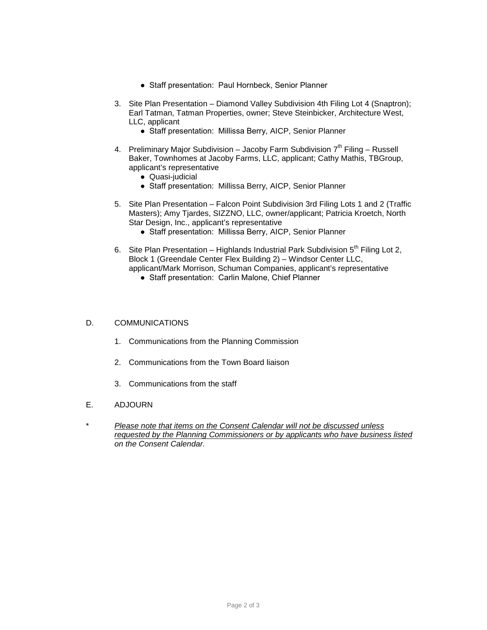- Staff presentation: Paul Hornbeck, Senior Planner
- 3. Site Plan Presentation Diamond Valley Subdivision 4th Filing Lot 4 (Snaptron); Earl Tatman, Tatman Properties, owner; Steve Steinbicker, Architecture West, LLC, applicant
	- Staff presentation: Millissa Berry, AICP, Senior Planner
- 4. Preliminary Major Subdivision Jacoby Farm Subdivision  $7<sup>th</sup>$  Filing Russell Baker, Townhomes at Jacoby Farms, LLC, applicant; Cathy Mathis, TBGroup, applicant's representative
	- Quasi-judicial
	- Staff presentation: Millissa Berry, AICP, Senior Planner
- 5. Site Plan Presentation Falcon Point Subdivision 3rd Filing Lots 1 and 2 (Traffic Masters); Amy Tjardes, SIZZNO, LLC, owner/applicant; Patricia Kroetch, North Star Design, Inc., applicant's representative
	- Staff presentation: Millissa Berry, AICP, Senior Planner
- 6. Site Plan Presentation Highlands Industrial Park Subdivision  $5<sup>th</sup>$  Filing Lot 2, Block 1 (Greendale Center Flex Building 2) – Windsor Center LLC, applicant/Mark Morrison, Schuman Companies, applicant's representative
	- Staff presentation: Carlin Malone, Chief Planner

#### D. COMMUNICATIONS

- 1. Communications from the Planning Commission
- 2. Communications from the Town Board liaison
- 3. Communications from the staff
- E. ADJOURN
- \* *Please note that items on the Consent Calendar will not be discussed unless requested by the Planning Commissioners or by applicants who have business listed on the Consent Calendar.*